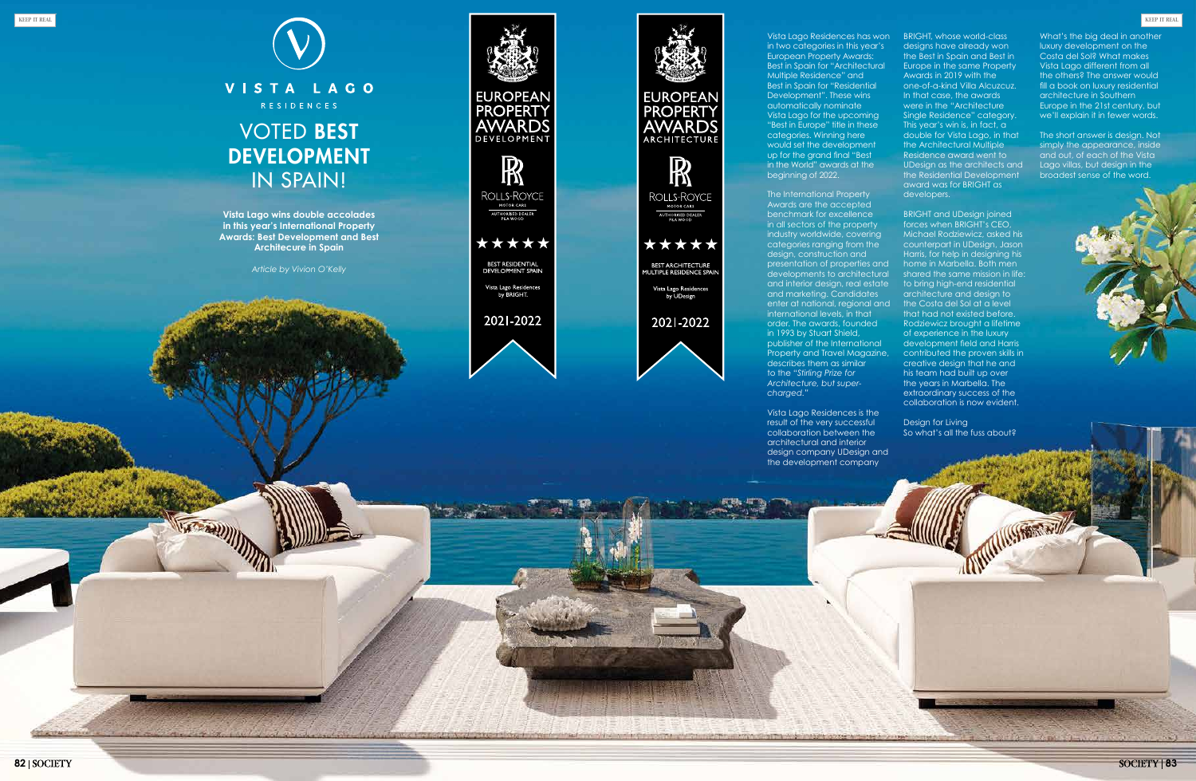Vista Lago Residences has won in two categories in this year's European Property Awards: Best in Spain for "Architectural Multiple Residence" and Best in Spain for "Residential Development". These wins automatically nominate Vista Lago for the upcoming "Best in Europe" title in these categories. Winning here would set the development up for the grand final "Best in the World" awards at the



The International Property Awards are the accepted benchmark for excellence in all sectors of the property industry worldwide, covering categories ranging from the design, construction and presentation of properties and developments to architectural and interior design, real estate and marketing. Candidates enter at national, regional and international levels, in that order. The awards, founded in 1993 by Stuart Shield, publisher of the International Property and Travel Magazine, describes them as similar to the "*Stirling Prize for Architecture, but super-*

Vista Lago Residences is the result of the very successful collaboration between the architectural and interior the development company

design company UDesign and

MISSING (GOOSE IN MISSING APPROVAL

BRIGHT, whose world-class designs have already won the Best in Spain and Best in Europe in the same Property Awards in 2019 with the one-of-a-kind Villa Alcuzcuz. In that case, the awards were in the "Architecture Single Residence" category. This year's win is, in fact, a double for Vista Lago, in that the Architectural Multiple Residence award went to UDesign as the architects and the Residential Development award was for BRIGHT as developers.

BRIGHT and UDesign joined forces when BRIGHT's CEO, Michael Rodziewicz, asked his counterpart in UDesign, Jason Harris, for help in designing his home in Marbella. Both men shared the same mission in life: to bring high-end residential architecture and design to the Costa del Sol at a level that had not existed before. Rodziewicz brought a lifetime of experience in the luxury development field and Harris contributed the proven skills in creative design that he and his team had built up over the years in Marbella. The extraordinary success of the collaboration is now evident.

Design for Living So what's all the fuss about?

WITH STREET

What's the big deal in another luxury development on the Costa del Sol? What makes Vista Lago different from all the others? The answer would fill a book on luxury residential architecture in Southern Europe in the 21st century, but we'll explain it in fewer words.

The short answer is design. Not simply the appearance, inside and out, of each of the Vista Lago villas, but design in the broadest sense of the word.